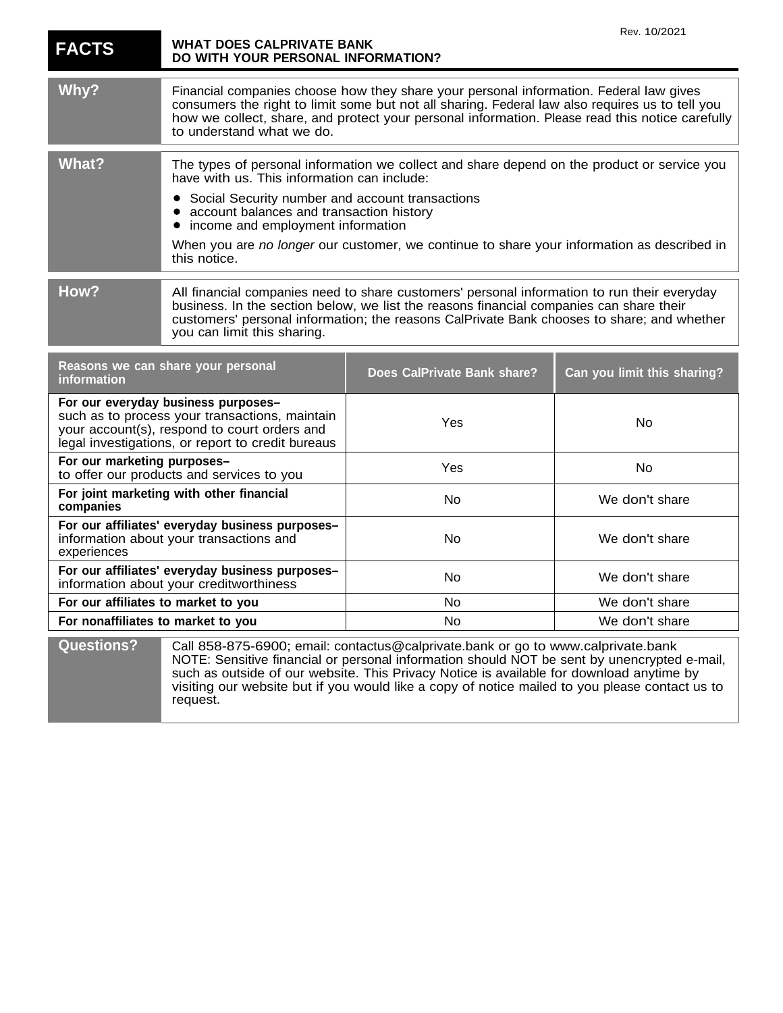| <b>FACTS</b>                                                                                                                                                                               | <b>WHAT DOES CALPRIVATE BANK</b><br>DO WITH YOUR PERSONAL INFORMATION?                                                                                                                                                                                                                                                                                                                                    |                                                                                                                                                                                                                                                                                                                                                                               | Rev. 10/2021                |
|--------------------------------------------------------------------------------------------------------------------------------------------------------------------------------------------|-----------------------------------------------------------------------------------------------------------------------------------------------------------------------------------------------------------------------------------------------------------------------------------------------------------------------------------------------------------------------------------------------------------|-------------------------------------------------------------------------------------------------------------------------------------------------------------------------------------------------------------------------------------------------------------------------------------------------------------------------------------------------------------------------------|-----------------------------|
| Why?                                                                                                                                                                                       | Financial companies choose how they share your personal information. Federal law gives<br>consumers the right to limit some but not all sharing. Federal law also requires us to tell you<br>how we collect, share, and protect your personal information. Please read this notice carefully<br>to understand what we do.                                                                                 |                                                                                                                                                                                                                                                                                                                                                                               |                             |
| <b>What?</b>                                                                                                                                                                               | The types of personal information we collect and share depend on the product or service you<br>have with us. This information can include:<br>Social Security number and account transactions<br>account balances and transaction history<br>income and employment information<br>$\bullet$<br>When you are no longer our customer, we continue to share your information as described in<br>this notice. |                                                                                                                                                                                                                                                                                                                                                                               |                             |
| How?                                                                                                                                                                                       | All financial companies need to share customers' personal information to run their everyday<br>business. In the section below, we list the reasons financial companies can share their<br>customers' personal information; the reasons CalPrivate Bank chooses to share; and whether<br>you can limit this sharing.                                                                                       |                                                                                                                                                                                                                                                                                                                                                                               |                             |
| Reasons we can share your personal<br>information                                                                                                                                          |                                                                                                                                                                                                                                                                                                                                                                                                           | Does CalPrivate Bank share?                                                                                                                                                                                                                                                                                                                                                   | Can you limit this sharing? |
| For our everyday business purposes-<br>such as to process your transactions, maintain<br>your account(s), respond to court orders and<br>legal investigations, or report to credit bureaus |                                                                                                                                                                                                                                                                                                                                                                                                           | Yes                                                                                                                                                                                                                                                                                                                                                                           | No                          |
| For our marketing purposes-<br>to offer our products and services to you                                                                                                                   |                                                                                                                                                                                                                                                                                                                                                                                                           | Yes                                                                                                                                                                                                                                                                                                                                                                           | No                          |
| For joint marketing with other financial<br>companies                                                                                                                                      |                                                                                                                                                                                                                                                                                                                                                                                                           | No                                                                                                                                                                                                                                                                                                                                                                            | We don't share              |
| For our affiliates' everyday business purposes-<br>information about your transactions and<br>experiences                                                                                  |                                                                                                                                                                                                                                                                                                                                                                                                           | No                                                                                                                                                                                                                                                                                                                                                                            | We don't share              |
| For our affiliates' everyday business purposes-<br>information about your creditworthiness                                                                                                 |                                                                                                                                                                                                                                                                                                                                                                                                           | No                                                                                                                                                                                                                                                                                                                                                                            | We don't share              |
| For our affiliates to market to you                                                                                                                                                        |                                                                                                                                                                                                                                                                                                                                                                                                           | No                                                                                                                                                                                                                                                                                                                                                                            | We don't share              |
| For nonaffiliates to market to you                                                                                                                                                         |                                                                                                                                                                                                                                                                                                                                                                                                           | No.                                                                                                                                                                                                                                                                                                                                                                           | We don't share              |
| <b>Questions?</b>                                                                                                                                                                          | request.                                                                                                                                                                                                                                                                                                                                                                                                  | Call 858-875-6900; email: contactus@calprivate.bank or go to www.calprivate.bank<br>NOTE: Sensitive financial or personal information should NOT be sent by unencrypted e-mail,<br>such as outside of our website. This Privacy Notice is available for download anytime by<br>visiting our website but if you would like a copy of notice mailed to you please contact us to |                             |